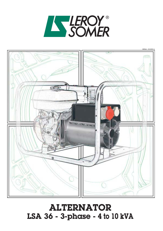### ALTERNATOR LSA 36 - 3-phase - 4 to 10 kVA



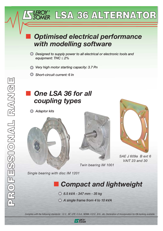### *Optimised electrical performance with modelling software*

OY LSA 36 ALTERNATOR

- *Designed to supply power to all electrical or electronic tools and equipment: THC* ≤ *2%*
- *Very high motor starting capacity: 3.7 Pn*
- *Short-circuit current: 6 In*

### *One LSA 36 for all coupling types*

*Adaptor kits*







*SAE J 609a B ext 6 VAIT 23 and 30*

*Single bearing with disc IM 1201*

### *Compact and lightweight*

*Twin bearing IM 1001*

*8.5 kVA - 347 mm - 35 kg*

*A single frame from 4 to 10 kVA* 

Complies with the following standards: I.E.C., NF, UTE, C.S.A., NEMA, V.D.E., B.S., etc. Declaration of incorporation for CC marking available.



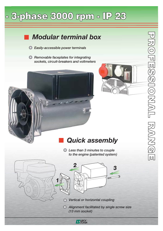# $-$  3-phase 3000 rpm  $-$  IP 23

### *Modular terminal box*

- *Easily-accessible power terminals*   $\bullet$
- *Removable faceplates for integrating sockets, circuit-breakers and voltmeters*





### *Quick assembly*

*Less than 3 minutes to couple to the engine (patented system)*



*Alignment facilitated by single screw size (13 mm socket)* 

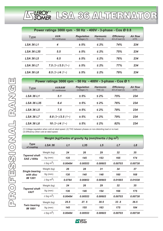

| Power ratings 3000 rpm - 50 Hz - 400V - 3-phase - Cos Ø 0.8 |                             |                                        |                           |                                          |                            |  |  |
|-------------------------------------------------------------|-----------------------------|----------------------------------------|---------------------------|------------------------------------------|----------------------------|--|--|
| <b>Type</b>                                                 | <b>kVA</b><br>S1 continuous | <b>Regulation</b><br>$(voltage)$ $(1)$ | <b>Harmonic</b><br>THC(2) | <b>Efficiency</b><br>$4/4$ of load $(3)$ | <b>Air flow</b><br>$m^3/h$ |  |  |
| <b>LSA 36 L1</b>                                            | 4                           | ± 5%                                   | $\leq 2\%$                | 74%                                      | 234                        |  |  |
| <b>LSA 36 L35</b>                                           | 5.5                         | ± 5%                                   | $\leq 2\%$                | 75%                                      | 234                        |  |  |
| <b>LSA 36 L5</b>                                            | 6.5                         | ± 5%                                   | $\leq 2\%$                | 76%                                      | 234                        |  |  |
| <b>LSA 36 L7</b>                                            | $7.5(3-) / 3.5(1-)$         | ± 5%                                   | $\leq 2\%$                | 77%                                      | 234                        |  |  |
| <b>LSA 36 L8</b>                                            | 8.5 $(3)$ /4 $(1)$          | ± 5%                                   | $\leq 2\%$                | 79%                                      | 234                        |  |  |

| Power ratings 3000 rpm - 50 Hz - 400V - 3-phase - Cos Ø 1 |                         |                                        |                           |                                          |                            |  |  |
|-----------------------------------------------------------|-------------------------|----------------------------------------|---------------------------|------------------------------------------|----------------------------|--|--|
| <b>Type</b>                                               | kVA/kW<br>S1 continuous | <b>Regulation</b><br>$(voltage)$ $(1)$ | <b>Harmonic</b><br>THC(2) | <b>Efficiency</b><br>$4/4$ of load $(3)$ | <b>Air flow</b><br>$m^3/h$ |  |  |
| <b>LSA 36 L1</b>                                          | 5.1                     | ± 5%                                   | $\leq 2\%$                | 75%                                      | 234                        |  |  |
| <b>LSA 36 L35</b>                                         | 6.4                     | ± 5%                                   | $\leq 2\%$                | 76%                                      | 234                        |  |  |
| <b>LSA 36 L5</b>                                          | 7.5                     | ± 5%                                   | $\leq 2\%$                | 78%                                      | 234                        |  |  |
| <b>LSA 36 L7</b>                                          | 8.8 $(3-) / 3.5 (1-)$   | ± 5%                                   | $\leq 2\%$                | 79%                                      | 234                        |  |  |
| <b>LSA 36 L8</b>                                          | 10 $(3)$ /4 $(1)$       | ± 5%                                   | $\leq 2\%$                | 82%                                      | 234                        |  |  |

(1) Voltage regulation when cold at rated speed. (2) THC between phases on non-distorting load or no load. (3) Efficiency when cold at rated speed.

| Weight (kg)/Centre of gravity Xg (mm)/Inertia J (kg m <sup>2</sup> ) |               |         |                 |         |         |                |  |
|----------------------------------------------------------------------|---------------|---------|-----------------|---------|---------|----------------|--|
| <b>Type</b><br>of coupling                                           | <b>LSA 36</b> | L1      | L <sub>35</sub> | L5      | L7      | L <sub>8</sub> |  |
| <b>Tapered shaft</b><br><b>SAE J 609a</b>                            | Weight (kg)   | 24      | 26              | 29      | 32      | 35             |  |
|                                                                      | $Xg$ (mm)     | 135     | 145             | 153     | 165     | 174            |  |
|                                                                      | J (kg $m^2$ ) | 0.00484 | 0.00553         | 0.00603 | 0.00703 | 0.00738        |  |
| <b>Single bearing</b><br>with disc<br><b>IM 1201</b>                 | Weight (kg)   | 26      | 28              | 31      | 34      | 37             |  |
|                                                                      | $Xg$ (mm)     | 130     | 140             | 148     | 160     | 168            |  |
|                                                                      | J (kg $m^2$ ) | 0.0784  | 0.00853         | 0.00903 | 0.01003 | 0.01038        |  |
| <b>Tapered shaft</b><br><b>VAIT</b>                                  | Weight (kg)   | 24      | 26              | 29      | 32      | 35             |  |
|                                                                      | $Xg$ (mm)     | 136     | 146             | 154     | 166     | 175            |  |
|                                                                      | J (kg $m^2$ ) | 0.00484 | 0.00553         | 0.00603 | 0.00703 | 0.00738        |  |
| <b>Twin bearing</b><br><b>IM 1001</b>                                | Weight (kg)   | 25.5    | 27.5            | 30.5    | 33.5    | 36.5           |  |
|                                                                      | Xg (mm)       | 145     | 155             | 163     | 175     | 184            |  |
|                                                                      | J (kg $m^2$ ) | 0.00484 | 0.00553         | 0.00603 | 0.00703 | 0.00738        |  |

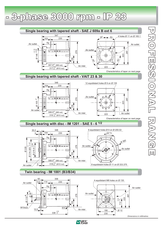$-$  3-phase 3000 rpm  $-$  IP 23



**IS LEROY**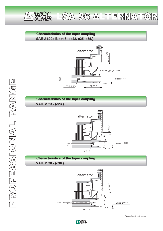

#### **Characteristics of the taper coupling SAE J 609a B ext 6 - (c22. c25. c35.)**







**Characteristics of the taper coupling VAIT Ø 30 - (c30.)**